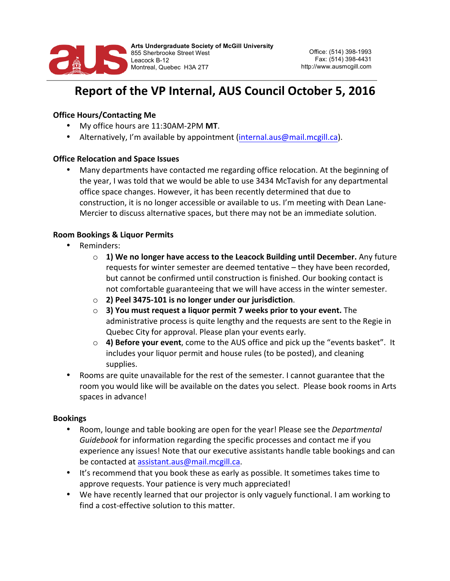

# Report of the VP Internal, AUS Council October 5, 2016

# **Office Hours/Contacting Me**

- My office hours are 11:30AM-2PM **MT**.
- Alternatively, I'm available by appointment (internal.aus@mail.mcgill.ca).

# **Office Relocation and Space Issues**

Many departments have contacted me regarding office relocation. At the beginning of the year, I was told that we would be able to use 3434 McTavish for any departmental office space changes. However, it has been recently determined that due to construction, it is no longer accessible or available to us. I'm meeting with Dean Lane-Mercier to discuss alternative spaces, but there may not be an immediate solution.

# **Room Bookings & Liquor Permits**

- Reminders:
	- **1)** We no longer have access to the Leacock Building until December. Any future requests for winter semester are deemed tentative – they have been recorded, but cannot be confirmed until construction is finished. Our booking contact is not comfortable guaranteeing that we will have access in the winter semester.
	- o **2) Peel 3475-101 is no longer under our jurisdiction**.
	- o **3)** You must request a liquor permit 7 weeks prior to your event. The administrative process is quite lengthy and the requests are sent to the Regie in Quebec City for approval. Please plan your events early.
	- o **4) Before your event**, come to the AUS office and pick up the "events basket". It includes your liquor permit and house rules (to be posted), and cleaning supplies.
- Rooms are quite unavailable for the rest of the semester. I cannot guarantee that the room you would like will be available on the dates you select. Please book rooms in Arts spaces in advance!

#### **Bookings**

- Room, lounge and table booking are open for the year! Please see the *Departmental Guidebook* for information regarding the specific processes and contact me if you experience any issues! Note that our executive assistants handle table bookings and can be contacted at assistant.aus@mail.mcgill.ca.
- It's recommend that you book these as early as possible. It sometimes takes time to approve requests. Your patience is very much appreciated!
- We have recently learned that our projector is only vaguely functional. I am working to find a cost-effective solution to this matter.